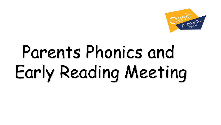

# Parents Phonics and Early Reading Meeting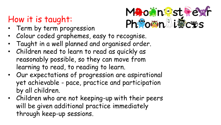### How it is taught:

• Term by term progression



- Colour coded graphemes, easy to recognise.
- Taught in a well planned and organised order.
- Children need to learn to read as quickly as reasonably possible, so they can move from learning to read, to reading to learn.
- Our expectations of progression are aspirational yet achievable - pace, practice and participation by all children.
- Children who are not keeping-up with their peers will be given additional practice immediately through keep-up sessions.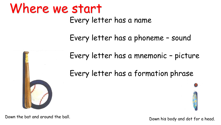### Where we start

Every letter has a name

Every letter has a phoneme – sound



Every letter has a mnemonic – picture

Every letter has a formation phrase



Down the bat and around the ball. Down his body and dot for a head.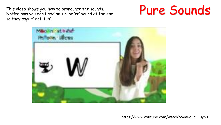This video shows you how to pronounce the sounds. Notice how you don't add an 'uh' or 'er' sound at the end, so they say: 't' not 'tuh'.





https://www.youtube.com/watch?v=mRoFpvC0yn0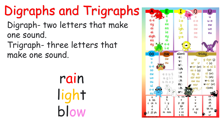## Digraphs and Trigraphs

Digraph- two letters that make one sound.

Trigraph- three letters that make one sound.

> rain light blow

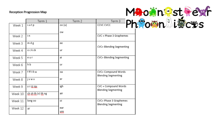#### **Reception Progression Map**



|  |         | Term 1                 | Term 2            | Term 3                                               |  |  |
|--|---------|------------------------|-------------------|------------------------------------------------------|--|--|
|  | Week 1  | satp                   | oo (u)            | CCVC CVCC                                            |  |  |
|  |         |                        | 0W                |                                                      |  |  |
|  | Week 2  | i n                    |                   | CVC + Phase 3 Graphemes                              |  |  |
|  | Week 3  | mdg                    | ee                | CVC+ Blending Segmenting                             |  |  |
|  | Week 4  | ockck                  | ur                |                                                      |  |  |
|  | Week 5  | eur                    | ai                | CVC+ Blending Segmenting                             |  |  |
|  | Week 6  | h b                    | or                |                                                      |  |  |
|  | Week 7  | ffflllss               | oa                | CVC+ Compound Words<br><b>Blending Segmenting</b>    |  |  |
|  | Week 8  | jvwx                   | er                |                                                      |  |  |
|  | Week 9  | y z zz qu              | igh               | CVC + Compound Words<br><b>Blending Segmenting</b>   |  |  |
|  | Week 10 | $ch$ sh th $(v)$ th ng | air               |                                                      |  |  |
|  | Week 11 | long oo                | οi                | CVC+ Phase 3 Graphemes<br><b>Blending Segmenting</b> |  |  |
|  | Week 12 | ar                     | ear<br><u>ure</u> |                                                      |  |  |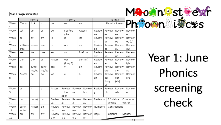#### **Year 1 Progression Map**

|                  | <b>Year 1 Progression Map</b>     |           |        |              |               |               |               |                |              |              |             |              | MothestRexf    |  |
|------------------|-----------------------------------|-----------|--------|--------------|---------------|---------------|---------------|----------------|--------------|--------------|-------------|--------------|----------------|--|
| Term 1<br>Term 2 |                                   |           |        |              |               | Term 3        |               |                |              |              |             |              |                |  |
| Week             | ff ss zz                          | II ck     | nk     | ue           | ue            | ew            |               | Phonics Screen |              |              | Phpomplices |              |                |  |
| Week             | tch<br>i before<br>ai<br>ew<br>ve |           |        | Assess       | Review        | Review        |               | Review         | Review       |              |             |              |                |  |
| 2                |                                   |           |        |              | yie           |               |               | ee             | ea           | ea           |             | er           |                |  |
| Week             | Οİ                                | ay        | oy     | ie           | ie            |               | igh           | Review         | Review       |              | Review      | Review       |                |  |
| 3                |                                   |           |        |              |               |               |               | ir             | ur           | oa           |             | oo (u)       |                |  |
| Week             | suffixes                          | assess    | а-е    | or           | ore           |               | aw            | Review         | Review       |              | Review      | Review       |                |  |
| 4<br>Week        | s/es<br>e-e                       | i-e       | o-e    | au           | air           |               | Prefix un     | OO.<br>Review  | oe<br>Review | ou           | Review      | 0W<br>Review |                |  |
| 5                |                                   |           |        |              |               |               |               | <b>OW</b>      | ue           | ue           |             | ew           |                |  |
| Week             | u-e                               | u-e       | ar     | Assess       | ear           |               | ear (air)     | Review         | Review       |              | Review      | Review       | Year 1: June   |  |
| 6                |                                   |           |        |              | (long E)      |               |               | ew             | ie           | ie           |             | igh          |                |  |
| Week             | ee                                | suffix    | suffix | are          | у             |               | ph            | Review         | Review       |              | Review      | Review       |                |  |
| 7                |                                   | ing/ed    | ing/ed |              |               |               |               | or             | ore          | aw           |             | au           |                |  |
| Week             | Assess                            | ea        | ea     | wh           | е             |               | O             | Review         | Review       |              | Review      | Review       | <b>Phonics</b> |  |
| 8                |                                   |           |        |              |               |               |               | air            | ear          | ear          |             | are          |                |  |
|                  |                                   |           |        |              |               |               |               |                | (long<br>E)  | (air)        |             |              |                |  |
| Week             | er                                | ir        | ur     | Assess       | Review        | Review        | Review        | Review         | Review       |              | Review      | Review       | screening      |  |
| 9                |                                   |           |        |              | ff II ss      | nk            | tch           |                | ph           | wh           |             | е            |                |  |
|                  |                                   |           |        |              | zz ck         |               |               |                |              |              |             |              |                |  |
| Week             | oa                                | oo (u)    | OO     | Review       | Review        | Review        | Review        | Review o       |              | 2 Syllable   |             | Compound     | check          |  |
| 10               |                                   |           |        | ve           | ai            | ΟĪ            | ay            |                |              | Words        |             | Words        |                |  |
| Week             | Suffix                            | Assess    | 0e     | Review       | Review        | Review        | Review        | Numbers        |              | Contractions |             |              |                |  |
| 11<br>Week       | er /est<br>ou                     | <b>OW</b> | 0W     | oy<br>Review | a-e<br>Review | e-e<br>Review | i-e<br>Review | Days           |              | Colours      |             | Months       |                |  |
| 12               |                                   |           |        |              |               |               |               |                |              |              |             |              |                |  |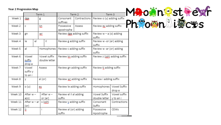#### **Year 2 Progression Map**

|               |                              |    | Term 1  |                               |                                       | Term 2 | Term 3                              |                           |  |
|---------------|------------------------------|----|---------|-------------------------------|---------------------------------------|--------|-------------------------------------|---------------------------|--|
| Week 1        | dge                          |    | g       |                               | Contractions<br>Consonant<br>suffixes |        | Review o (u) adding suffix          |                           |  |
| Week 2        | C                            |    |         |                               | Possessive<br>apostrophe              | Assess | Review ey adding suffix             |                           |  |
| Week 3        | gn                           |    | WĽ      |                               | Review dge adding suffix              |        | Review $w - a$ (o) adding<br>suffix |                           |  |
| Week 4        | le                           | el | il      |                               | Review g adding suffix                |        | Review w -or (er) adding<br>suffix  |                           |  |
| Week 5        | al                           |    |         | Homophones                    | Review c adding suffix                |        | Review w -ar (or) adding<br>suffix  |                           |  |
| Week 6        | Vowel<br>suffix<br>drop e    |    |         | Vowel suffix<br>double letter | Review kn adding suffix               |        | Review z (zsh) adding suffix        |                           |  |
| Week 7        | Vowel<br>suffix y<br>to an i |    | Assess  |                               | Review gn adding suffix               |        | Review ti adding suffix             |                           |  |
| Week 8<br>y   |                              |    | al (or) |                               | Review wr adding suffix               |        | Review i adding suffix              |                           |  |
| Week 9        | o (u)                        |    | eу      |                               | Review le adding suffix               |        | Homophones                          | Vowel Suffix<br>drop e    |  |
| Week 10       | After w –<br>a(o)            |    |         | After w -<br>or (er)          | Review el il al adding<br>suffix      |        | Vowel Suffix<br>double letter       | Vowel suffix<br>y to an i |  |
| Week 11       | After w – ar<br>(or)         |    | s (zsh) |                               | Review y adding suffix                |        | Consonant<br>Suffix                 | Contractions              |  |
| Week 12<br>ţį |                              |    | i       |                               | Review al (or) adding<br>suffix       |        | Possessive<br>Apostrophe            | <b>CEWs</b>               |  |

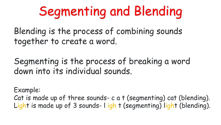## Segmenting and Blending

Blending is the process of combining sounds together to create a word.

Segmenting is the process of breaking a word down into its individual sounds.

Example:

Cat is made up of three sounds- c a t (segmenting) cat (blending). Light is made up of 3 sounds- l igh t (segmenting) light (blending).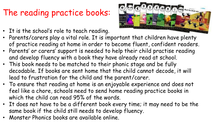### The reading practice books:

- It is the school's role to teach reading.
- Parents/carers play a vital role. It is important that children have plenty of practice reading at home in order to become fluent, confident readers.
- Parents' or carers' support is needed to help their child practise reading and develop fluency with a book they have already read at school.
- This book needs to be matched to their phonic stage and be fully decodable. If books are sent home that the child cannot decode, it will lead to frustration for the child and the parent/carer.
- To ensure that reading at home is an enjoyable experience and does not feel like a chore, schools need to send home reading practice books in which the child can read 95% of the words.
- It does not have to be a different book every time; it may need to be the same book if the child still needs to develop fluency.
- Monster Phonics books are available online.

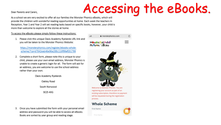### Accessing the eBooks.

#### Dear Parents and Carers.

As a school we are very excited to offer all our families the Monster Phonics eBooks, which will provide the children with wonderful reading opportunities at home. Each week the teachers In Reception, Year 1 and Year 2 will set reading tasks based on specific books, however, your child is more than welcome to explore all the stories at home.

To access the eBooks please simply follow these instructions:

1. Please click this unique Oasis Academy Ryelands URL link and you will be taken to the Monster Phonics Website:



https://monsterphonics.com/register/ebooks-wholescheme/?ca=d7842eab46e96a288c116f99af031799

- 2. Complete a short form, please note this is unique to your child, please use your own email address, Monster Phonics is unable to create a generic login for all. The form will ask for an address, you are welcome to use the school address rather than your own.
	- Oasis Academy Ryelands Oakley Road

South Norwood

SE25 4XG

3. Once you have submitted the form with your personal email address and password you will be able to access all eBooks. Books are sorted by year group and reading stage.

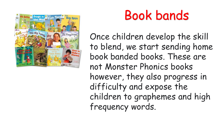

### Book bands

Once children develop the skill to blend, we start sending home book banded books. These are not Monster Phonics books however, they also progress in difficulty and expose the children to graphemes and high frequency words.